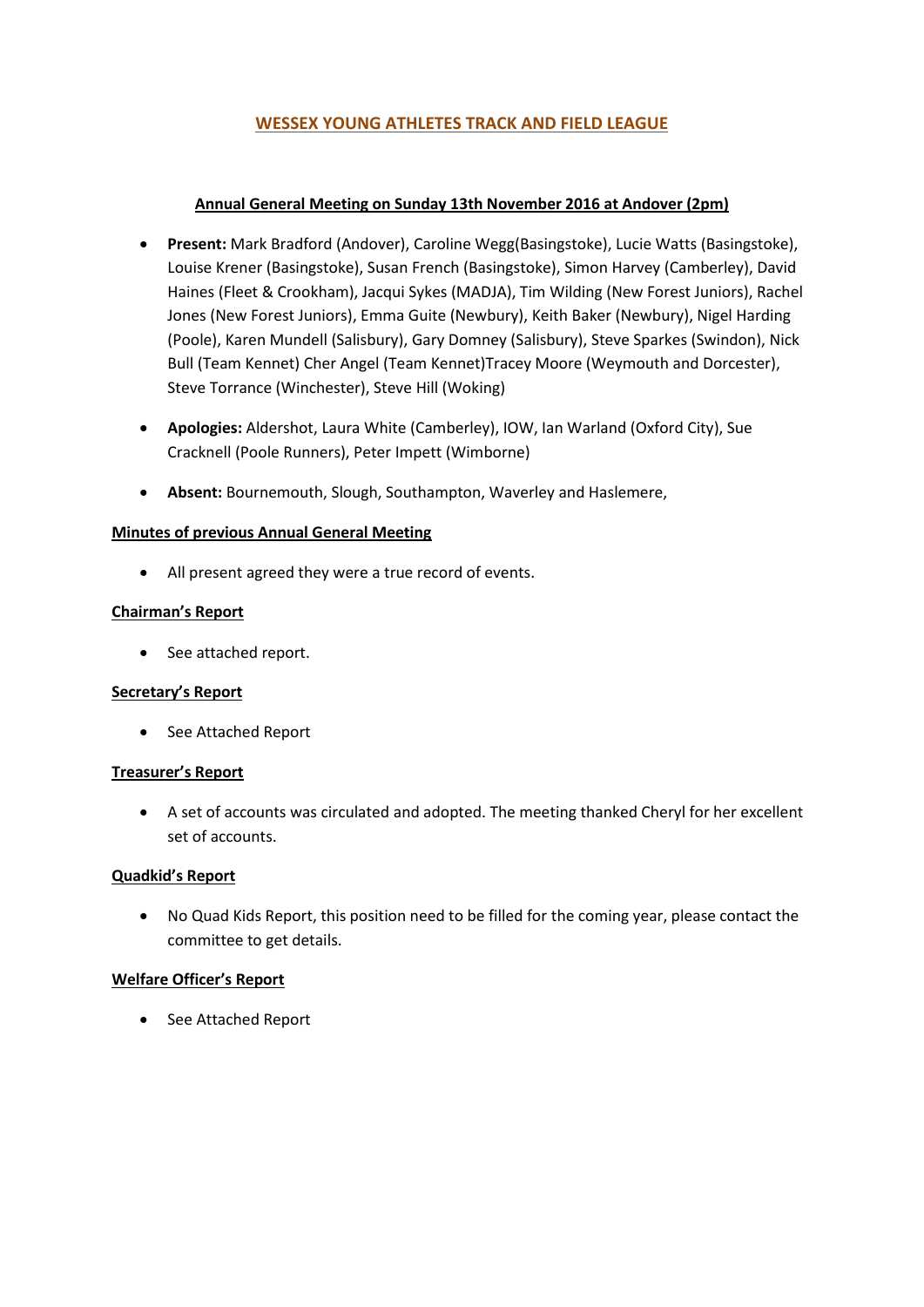## **WESSEX YOUNG ATHLETES TRACK AND FIELD LEAGUE**

## **Annual General Meeting on Sunday 13th November 2016 at Andover (2pm)**

- **Present:** Mark Bradford (Andover), Caroline Wegg(Basingstoke), Lucie Watts (Basingstoke), Louise Krener (Basingstoke), Susan French (Basingstoke), Simon Harvey (Camberley), David Haines (Fleet & Crookham), Jacqui Sykes (MADJA), Tim Wilding (New Forest Juniors), Rachel Jones (New Forest Juniors), Emma Guite (Newbury), Keith Baker (Newbury), Nigel Harding (Poole), Karen Mundell (Salisbury), Gary Domney (Salisbury), Steve Sparkes (Swindon), Nick Bull (Team Kennet) Cher Angel (Team Kennet)Tracey Moore (Weymouth and Dorcester), Steve Torrance (Winchester), Steve Hill (Woking)
- **Apologies:** Aldershot, Laura White (Camberley), IOW, Ian Warland (Oxford City), Sue Cracknell (Poole Runners), Peter Impett (Wimborne)
- **Absent:** Bournemouth, Slough, Southampton, Waverley and Haslemere,

## **Minutes of previous Annual General Meeting**

All present agreed they were a true record of events.

## **Chairman's Report**

• See attached report.

#### **Secretary's Report**

• See Attached Report

## **Treasurer's Report**

 A set of accounts was circulated and adopted. The meeting thanked Cheryl for her excellent set of accounts.

#### **Quadkid's Report**

 No Quad Kids Report, this position need to be filled for the coming year, please contact the committee to get details.

#### **Welfare Officer's Report**

• See Attached Report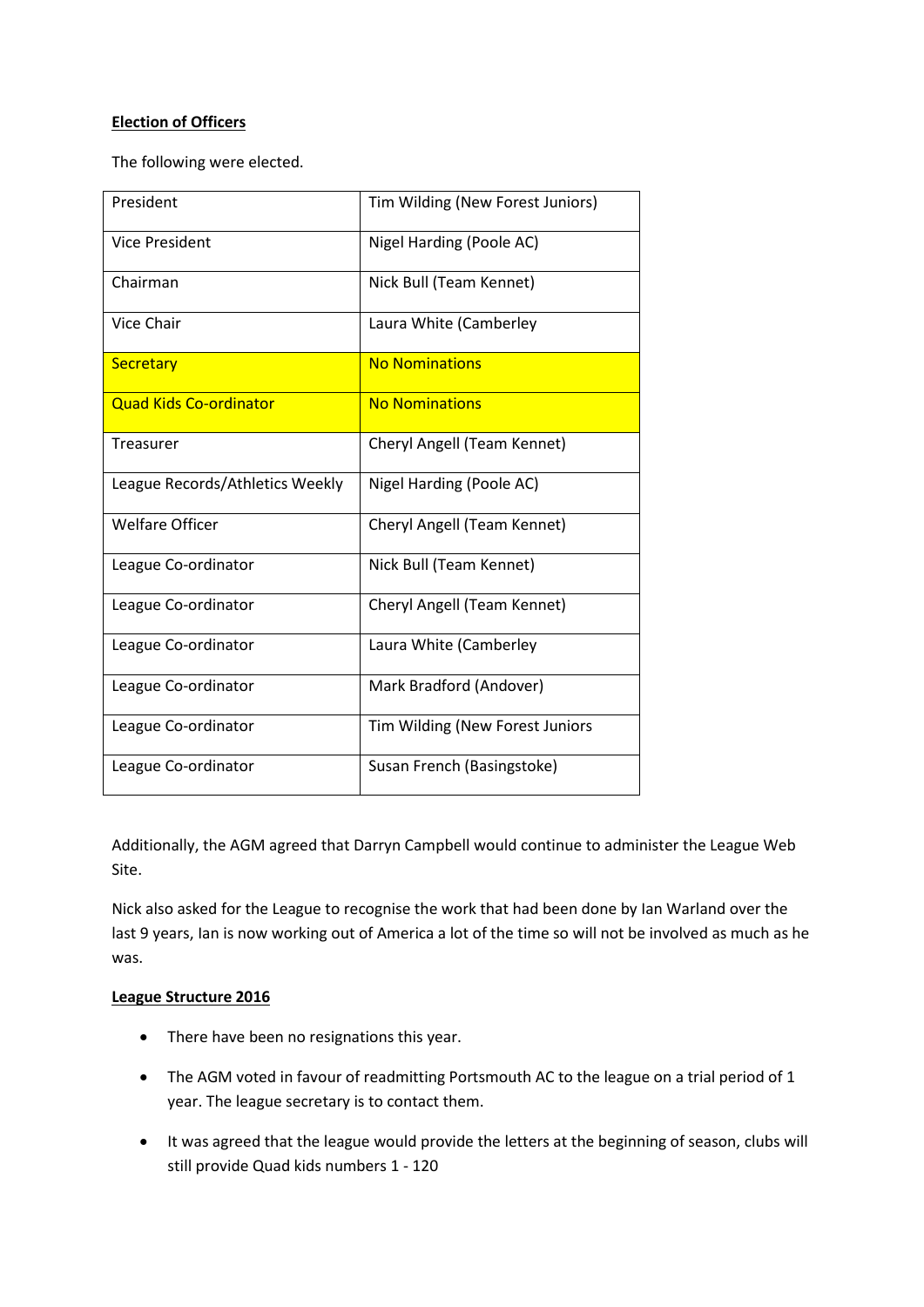## **Election of Officers**

The following were elected.

| President                       | Tim Wilding (New Forest Juniors) |
|---------------------------------|----------------------------------|
| <b>Vice President</b>           | Nigel Harding (Poole AC)         |
| Chairman                        | Nick Bull (Team Kennet)          |
| Vice Chair                      | Laura White (Camberley           |
| <b>Secretary</b>                | <b>No Nominations</b>            |
| <b>Quad Kids Co-ordinator</b>   | <b>No Nominations</b>            |
| <b>Treasurer</b>                | Cheryl Angell (Team Kennet)      |
| League Records/Athletics Weekly | Nigel Harding (Poole AC)         |
| <b>Welfare Officer</b>          | Cheryl Angell (Team Kennet)      |
| League Co-ordinator             | Nick Bull (Team Kennet)          |
| League Co-ordinator             | Cheryl Angell (Team Kennet)      |
| League Co-ordinator             | Laura White (Camberley           |
| League Co-ordinator             | Mark Bradford (Andover)          |
| League Co-ordinator             | Tim Wilding (New Forest Juniors  |
| League Co-ordinator             | Susan French (Basingstoke)       |

Additionally, the AGM agreed that Darryn Campbell would continue to administer the League Web Site.

Nick also asked for the League to recognise the work that had been done by Ian Warland over the last 9 years, Ian is now working out of America a lot of the time so will not be involved as much as he was.

#### **League Structure 2016**

- There have been no resignations this year.
- The AGM voted in favour of readmitting Portsmouth AC to the league on a trial period of 1 year. The league secretary is to contact them.
- It was agreed that the league would provide the letters at the beginning of season, clubs will still provide Quad kids numbers 1 - 120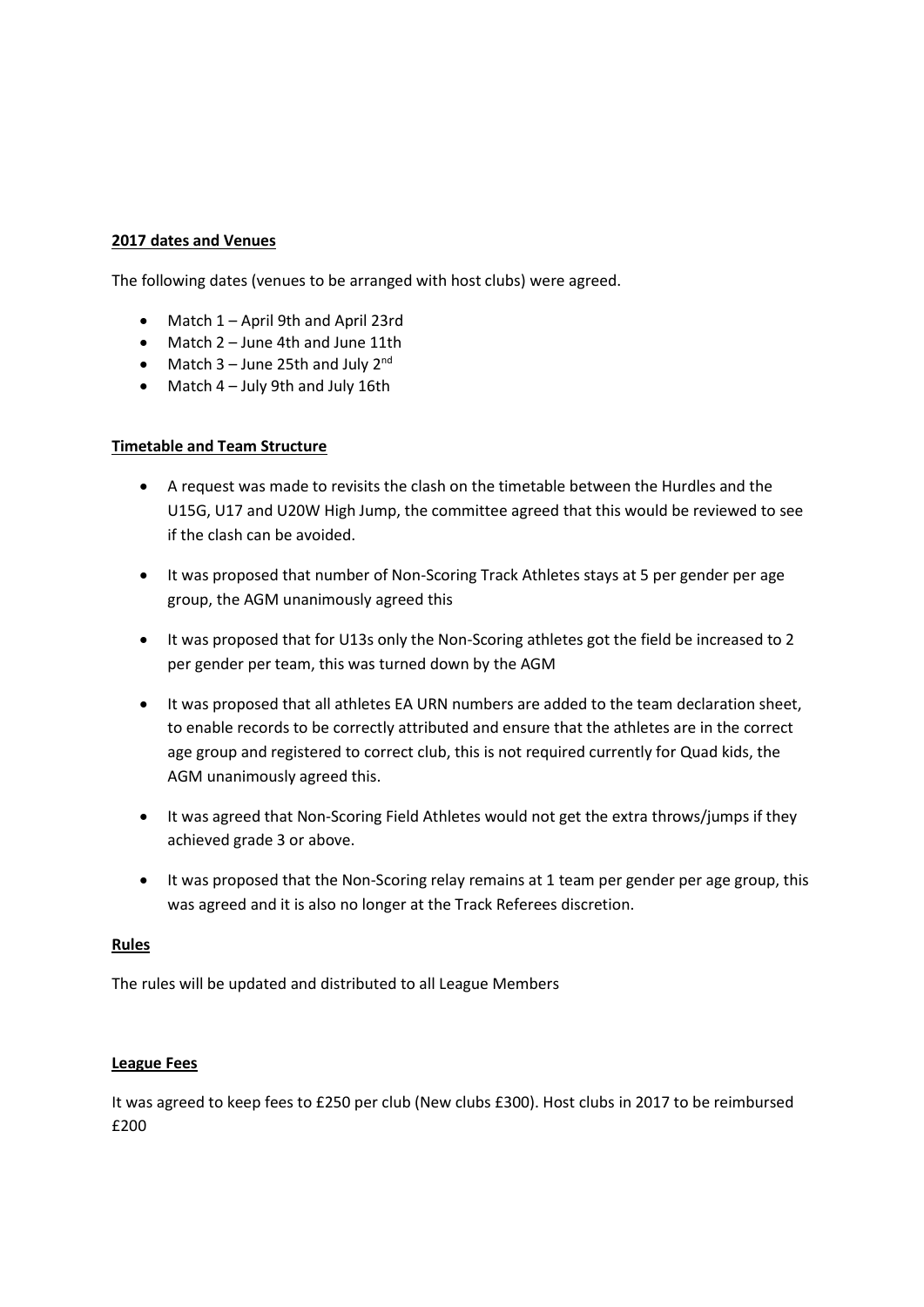#### **2017 dates and Venues**

The following dates (venues to be arranged with host clubs) were agreed.

- Match 1 April 9th and April 23rd
- Match 2 June 4th and June 11th
- Match  $3 -$  June 25th and July  $2^{nd}$
- $\bullet$  Match 4 July 9th and July 16th

## **Timetable and Team Structure**

- A request was made to revisits the clash on the timetable between the Hurdles and the U15G, U17 and U20W High Jump, the committee agreed that this would be reviewed to see if the clash can be avoided.
- It was proposed that number of Non-Scoring Track Athletes stays at 5 per gender per age group, the AGM unanimously agreed this
- It was proposed that for U13s only the Non-Scoring athletes got the field be increased to 2 per gender per team, this was turned down by the AGM
- It was proposed that all athletes EA URN numbers are added to the team declaration sheet, to enable records to be correctly attributed and ensure that the athletes are in the correct age group and registered to correct club, this is not required currently for Quad kids, the AGM unanimously agreed this.
- It was agreed that Non-Scoring Field Athletes would not get the extra throws/jumps if they achieved grade 3 or above.
- It was proposed that the Non-Scoring relay remains at 1 team per gender per age group, this was agreed and it is also no longer at the Track Referees discretion.

#### **Rules**

The rules will be updated and distributed to all League Members

#### **League Fees**

It was agreed to keep fees to £250 per club (New clubs £300). Host clubs in 2017 to be reimbursed £200